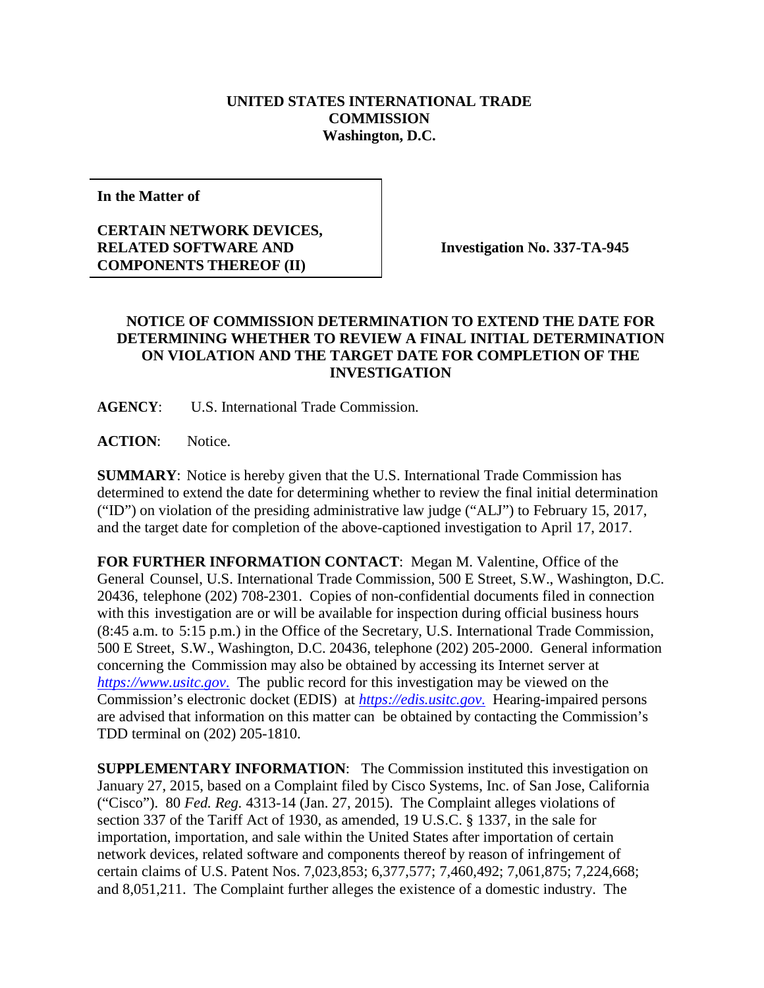## **UNITED STATES INTERNATIONAL TRADE COMMISSION Washington, D.C.**

**In the Matter of**

## **CERTAIN NETWORK DEVICES, RELATED SOFTWARE AND COMPONENTS THEREOF (II)**

**Investigation No. 337-TA-945**

## **NOTICE OF COMMISSION DETERMINATION TO EXTEND THE DATE FOR DETERMINING WHETHER TO REVIEW A FINAL INITIAL DETERMINATION ON VIOLATION AND THE TARGET DATE FOR COMPLETION OF THE INVESTIGATION**

**AGENCY**: U.S. International Trade Commission.

**ACTION**: Notice.

**SUMMARY**: Notice is hereby given that the U.S. International Trade Commission has determined to extend the date for determining whether to review the final initial determination ("ID") on violation of the presiding administrative law judge ("ALJ") to February 15, 2017, and the target date for completion of the above-captioned investigation to April 17, 2017.

**FOR FURTHER INFORMATION CONTACT**: Megan M. Valentine, Office of the General Counsel, U.S. International Trade Commission, 500 E Street, S.W., Washington, D.C. 20436, telephone (202) 708-2301. Copies of non-confidential documents filed in connection with this investigation are or will be available for inspection during official business hours (8:45 a.m. to 5:15 p.m.) in the Office of the Secretary, U.S. International Trade Commission, 500 E Street, S.W., Washington, D.C. 20436, telephone (202) 205-2000. General information concerning the Commission may also be obtained by accessing its Internet server at *[https://www.usitc.gov](https://www.usitc.gov./)*. The public record for this investigation may be viewed on the Commission's electronic docket (EDIS) at *[https://edis.usitc.gov](https://edis.usitc.gov./)*. Hearing-impaired persons are advised that information on this matter can be obtained by contacting the Commission's TDD terminal on (202) 205-1810.

**SUPPLEMENTARY INFORMATION:** The Commission instituted this investigation on January 27, 2015, based on a Complaint filed by Cisco Systems, Inc. of San Jose, California ("Cisco"). 80 *Fed. Reg.* 4313-14 (Jan. 27, 2015). The Complaint alleges violations of section 337 of the Tariff Act of 1930, as amended, 19 U.S.C. § 1337, in the sale for importation, importation, and sale within the United States after importation of certain network devices, related software and components thereof by reason of infringement of certain claims of U.S. Patent Nos. 7,023,853; 6,377,577; 7,460,492; 7,061,875; 7,224,668; and 8,051,211. The Complaint further alleges the existence of a domestic industry. The